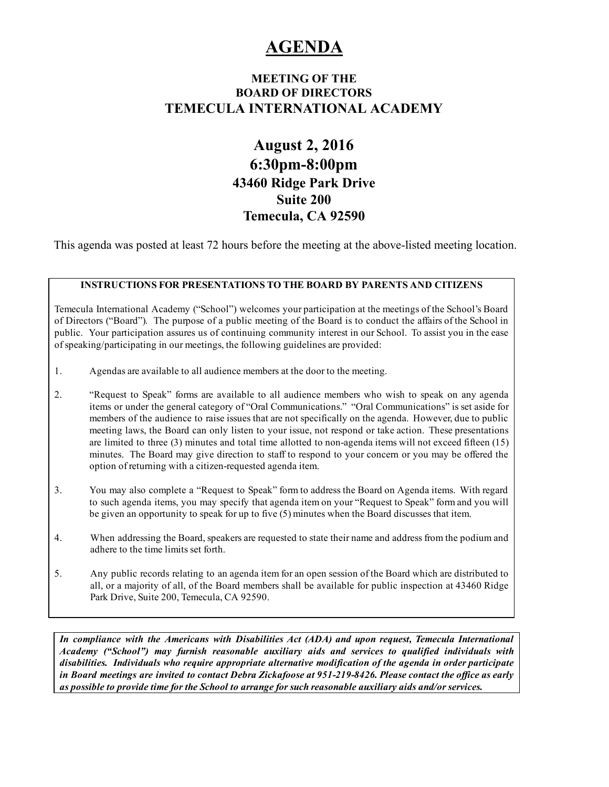# **AGENDA**

## MEETING OF THE BOARD OF DIRECTORS TEMECULA INTERNATIONAL ACADEMY

# August 2, 2016 6:30pm-8:00pm 43460 Ridge Park Drive Suite 200 Temecula, CA 92590

This agenda was posted at least 72 hours before the meeting at the above-listed meeting location.

#### INSTRUCTIONS FOR PRESENTATIONS TO THE BOARD BY PARENTS AND CITIZENS

Temecula International Academy ("School") welcomes your participation at the meetings of the School's Board of Directors ("Board"). The purpose of a public meeting of the Board is to conduct the affairs of the School in public. Your participation assures us of continuing community interest in our School. To assist you in the ease ofspeaking/participating in our meetings, the following guidelines are provided:

- 1. Agendas are available to all audience members at the door to the meeting.
- 2. "Request to Speak" forms are available to all audience members who wish to speak on any agenda items or under the general category of "Oral Communications." "Oral Communications" is set aside for members of the audience to raise issues that are not specifically on the agenda. However, due to public meeting laws, the Board can only listen to your issue, not respond or take action. These presentations are limited to three (3) minutes and total time allotted to non-agenda items will not exceed fifteen (15) minutes. The Board may give direction to staff to respond to your concern or you may be offered the option of returning with a citizen-requested agenda item.
- 3. You may also complete a "Request to Speak" form to address the Board on Agenda items. With regard to such agenda items, you may specify that agenda item on your "Request to Speak" form and you will be given an opportunity to speak for up to five (5) minutes when the Board discusses that item.
- 4. When addressing the Board, speakers are requested to state their name and address from the podium and adhere to the time limits set forth.
- 5. Any public records relating to an agenda item for an open session of the Board which are distributed to all, or a majority of all, of the Board members shall be available for public inspection at 43460 Ridge Park Drive, Suite 200, Temecula, CA 92590.

*In compliance with the Americans with Disabilities Act (ADA) and upon request, Temecula International Academy ("School") may furnish reasonable auxiliary aids and services to qualified individuals with disabilities. Individuals who require appropriate alternative modification of the agenda in order participate* in Board meetings are invited to contact Debra Zickafoose at 951-219-8426. Please contact the office as early *as possible to provide time for the School to arrange for such reasonable auxiliary aids and/or services.*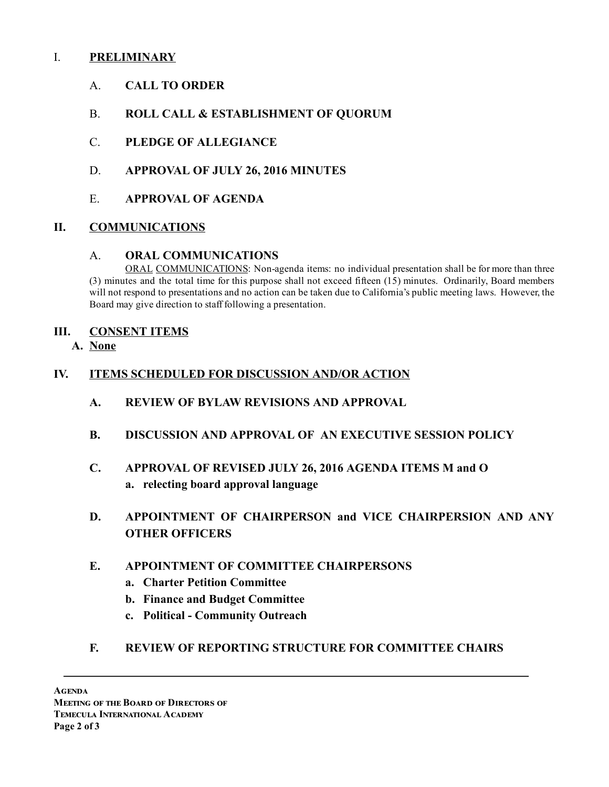#### I. PRELIMINARY

- A. **CALL TO ORDER**
- B. ROLL CALL & ESTABLISHMENT OF QUORUM
- C. PLEDGE OF ALLEGIANCE
- D. APPROVAL OF JULY 26, 2016 MINUTES
- E. **APPROVAL OF AGENDA**

#### II. COMMUNICATIONS

#### A. ORAL COMMUNICATIONS

ORAL COMMUNICATIONS: Non-agenda items: no individual presentation shall be for more than three (3) minutes and the total time for this purpose shall not exceed fifteen (15) minutes. Ordinarily, Board members will not respond to presentations and no action can be taken due to California's public meeting laws. However, the Board may give direction to staff following a presentation.

#### III. CONSENT ITEMS

A. None

#### IV. ITEMS SCHEDULED FOR DISCUSSION AND/OR ACTION

- A. REVIEW OF BYLAW REVISIONS AND APPROVAL
- B. DISCUSSION AND APPROVAL OF AN EXECUTIVE SESSION POLICY
- C. APPROVAL OF REVISED JULY 26, 2016 AGENDA ITEMS M and O a. relecting board approval language
- D. APPOINTMENT OF CHAIRPERSON and VICE CHAIRPERSION AND ANY OTHER OFFICERS

#### E. APPOINTMENT OF COMMITTEE CHAIRPERSONS

- a. Charter Petition Committee
- b. Finance and Budget Committee
- c. Political Community Outreach

### F. REVIEW OF REPORTING STRUCTURE FOR COMMITTEE CHAIRS